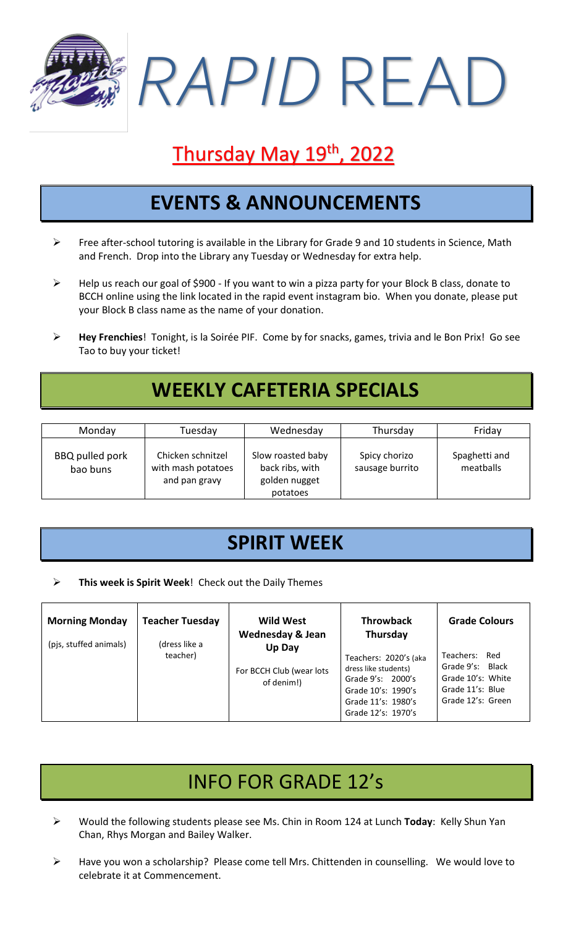*RAPID* READ

# Thursday May 19<sup>th</sup>, 2022

#### **EVENTS & ANNOUNCEMENTS**

- ➢ Free after-school tutoring is available in the Library for Grade 9 and 10 students in Science, Math and French. Drop into the Library any Tuesday or Wednesday for extra help.
- ➢ Help us reach our goal of \$900 If you want to win a pizza party for your Block B class, donate to BCCH online using the link located in the rapid event instagram bio. When you donate, please put your Block B class name as the name of your donation.
- ➢ **Hey Frenchies**! Tonight, is la Soirée PIF. Come by for snacks, games, trivia and le Bon Prix! Go see Tao to buy your ticket!

## **WEEKLY CAFETERIA SPECIALS**

| Monday                      | Tuesday                                                  | Wednesday                                                         | Thursday                         | Friday                     |
|-----------------------------|----------------------------------------------------------|-------------------------------------------------------------------|----------------------------------|----------------------------|
| BBQ pulled pork<br>bao buns | Chicken schnitzel<br>with mash potatoes<br>and pan gravy | Slow roasted baby<br>back ribs, with<br>golden nugget<br>potatoes | Spicy chorizo<br>sausage burrito | Spaghetti and<br>meatballs |

#### **SPIRIT WEEK**

➢ **This week is Spirit Week**! Check out the Daily Themes

| <b>Morning Monday</b>  | <b>Teacher Tuesday</b>    | <b>Wild West</b><br><b>Wednesday &amp; Jean</b>  | <b>Throwback</b><br>Thursday                                                                                                         | <b>Grade Colours</b>                                                                            |
|------------------------|---------------------------|--------------------------------------------------|--------------------------------------------------------------------------------------------------------------------------------------|-------------------------------------------------------------------------------------------------|
| (pjs, stuffed animals) | (dress like a<br>teacher) | Up Day<br>For BCCH Club (wear lots<br>of denim!) | Teachers: 2020's (aka<br>dress like students)<br>Grade 9's: 2000's<br>Grade 10's: 1990's<br>Grade 11's: 1980's<br>Grade 12's: 1970's | Teachers: Red<br>Grade 9's: Black<br>Grade 10's: White<br>Grade 11's: Blue<br>Grade 12's: Green |

## INFO FOR GRADE 12's

- ➢ Would the following students please see Ms. Chin in Room 124 at Lunch **Today**: Kelly Shun Yan Chan, Rhys Morgan and Bailey Walker.
- ➢ Have you won a scholarship? Please come tell Mrs. Chittenden in counselling. We would love to celebrate it at Commencement.